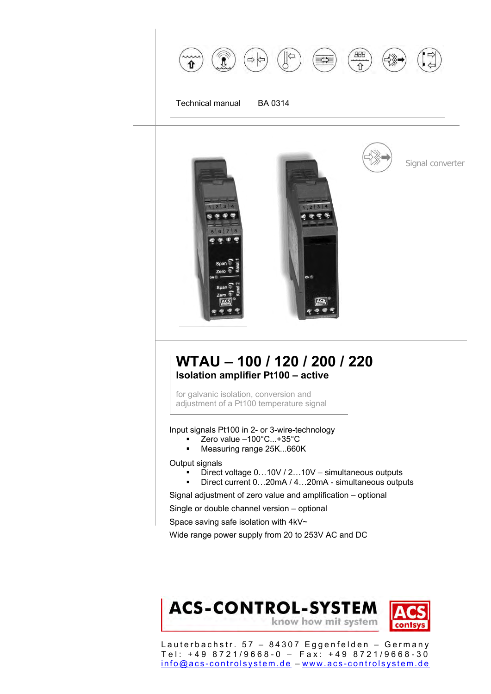

ACS ۰

# **WTAU – 100 / 120 / 200 / 220 Isolation amplifier Pt100 – active**

for galvanic isolation, conversion and adjustment of a Pt100 temperature signal

Input signals Pt100 in 2- or 3-wire-technology

- Zero value –100°C...+35°C
- **Measuring range 25K...660K**

Output signals

- Direct voltage  $0...10V/2...10V \text{simultaneous outputs}$ <br>Direct current  $0.20 \text{mA}/4.20 \text{mA} \cdot \text{simultaneous output}$
- Direct current 0…20mA / 4…20mA simultaneous outputs

Signal adjustment of zero value and amplification – optional

Single or double channel version – optional

Space saving safe isolation with 4kV~

Wide range power supply from 20 to 253V AC and DC

# **ACS-CONTROL-SYSTEM** know how mit system

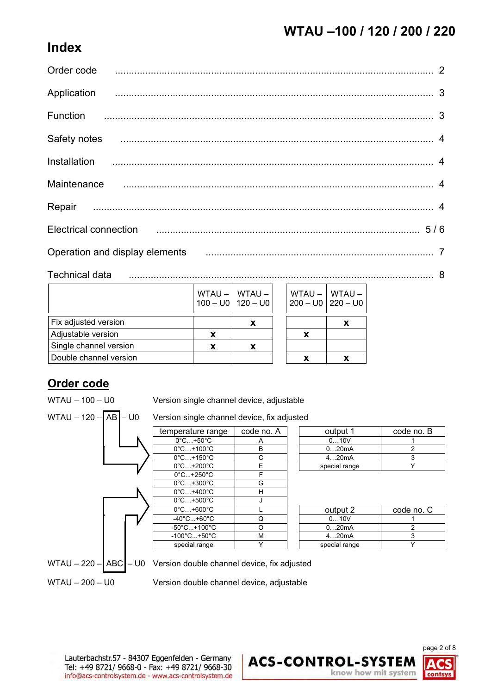# **Index**

|              | Order code 22 million communication contract and contract of the contract of the contract of the contract of the contract of the contract of the contract of the contract of the contract of the contract of the contract of t |  |
|--------------|--------------------------------------------------------------------------------------------------------------------------------------------------------------------------------------------------------------------------------|--|
|              |                                                                                                                                                                                                                                |  |
| Function     |                                                                                                                                                                                                                                |  |
| Safety notes |                                                                                                                                                                                                                                |  |
| Installation |                                                                                                                                                                                                                                |  |
| Maintenance  |                                                                                                                                                                                                                                |  |
|              |                                                                                                                                                                                                                                |  |
|              | Electrical connection <b>contraction Electrical</b> connection <b>contracts 5/6</b>                                                                                                                                            |  |
|              | Operation and display elements                                                                                                                                                                                                 |  |

Technical data ............................................................................................................... 8

|                        |   | $WTAU -   WTAU -$<br>$100 - U0$   120 - U0 | WTAU -   WTAU -<br>$200 - U0$   220 - U0 |  |
|------------------------|---|--------------------------------------------|------------------------------------------|--|
| Fix adjusted version   |   | x                                          |                                          |  |
| Adjustable version     | x |                                            | x                                        |  |
| Single channel version | х | X                                          |                                          |  |
| Double channel version |   |                                            | x                                        |  |

# **Order code**

WTAU – 100 – U0 Version single channel device, adjustable



| output 1      | code no. B |
|---------------|------------|
| 010V          |            |
| 020mA         |            |
| 420mA         |            |
| special range |            |

| output 2      | code no. C |
|---------------|------------|
| 010V          |            |
| 020mA         |            |
| 420mA         |            |
| special range |            |

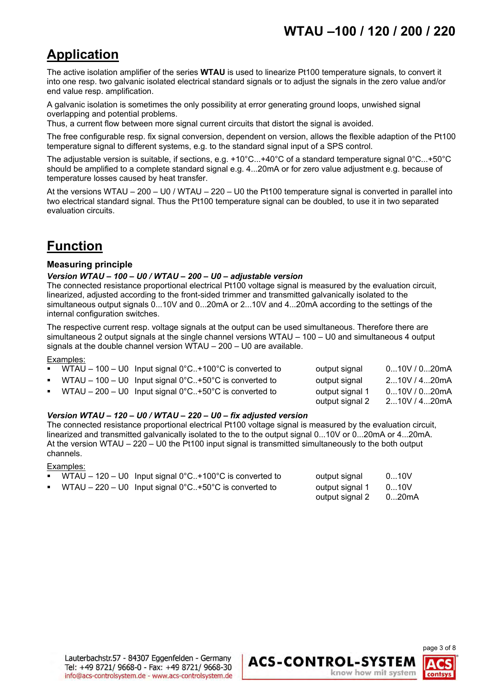# **Application**

The active isolation amplifier of the series **WTAU** is used to linearize Pt100 temperature signals, to convert it into one resp. two galvanic isolated electrical standard signals or to adjust the signals in the zero value and/or end value resp. amplification.

A galvanic isolation is sometimes the only possibility at error generating ground loops, unwished signal overlapping and potential problems.

Thus, a current flow between more signal current circuits that distort the signal is avoided.

The free configurable resp. fix signal conversion, dependent on version, allows the flexible adaption of the Pt100 temperature signal to different systems, e.g. to the standard signal input of a SPS control.

The adjustable version is suitable, if sections, e.g. +10°C...+40°C of a standard temperature signal 0°C...+50°C should be amplified to a complete standard signal e.g. 4...20mA or for zero value adjustment e.g. because of temperature losses caused by heat transfer.

At the versions WTAU – 200 – U0 / WTAU – 220 – U0 the Pt100 temperature signal is converted in parallel into two electrical standard signal. Thus the Pt100 temperature signal can be doubled, to use it in two separated evaluation circuits.

# **Function**

#### **Measuring principle**

#### *Version WTAU – 100 – U0 / WTAU – 200 – U0 – adjustable version*

The connected resistance proportional electrical Pt100 voltage signal is measured by the evaluation circuit, linearized, adjusted according to the front-sided trimmer and transmitted galvanically isolated to the simultaneous output signals 0...10V and 0...20mA or 2...10V and 4...20mA according to the settings of the internal configuration switches.

The respective current resp. voltage signals at the output can be used simultaneous. Therefore there are simultaneous 2 output signals at the single channel versions WTAU – 100 – U0 and simultaneous 4 output signals at the double channel version WTAU – 200 – U0 are available.

#### Examples:

|  | <b>•</b> WTAU $-$ 100 $-$ U0 Input signal 0°C+100°C is converted to            | output signal   | 010V / 020mA |
|--|--------------------------------------------------------------------------------|-----------------|--------------|
|  | • WTAU – 100 – U0 Input signal $0^{\circ}$ C. +50 $^{\circ}$ C is converted to | output signal   | 210V / 420mA |
|  | • WTAU $-200 - U0$ Input signal 0°C+50°C is converted to                       | output signal 1 | 010V / 020mA |
|  |                                                                                | output signal 2 | 210V / 420mA |

#### *Version WTAU – 120 – U0 / WTAU – 220 – U0 – fix adjusted version*

The connected resistance proportional electrical Pt100 voltage signal is measured by the evaluation circuit, linearized and transmitted galvanically isolated to the to the output signal 0...10V or 0...20mA or 4...20mA. At the version WTAU – 220 – U0 the Pt100 input signal is transmitted simultaneously to the both output channels.

#### Examples:

|  | • WTAU $-$ 120 $-$ U0 Input signal 0°C. $+$ 100°C is converted to                   | output signal   | 010V   |
|--|-------------------------------------------------------------------------------------|-----------------|--------|
|  | <b>•</b> WTAU – 220 – U0 Input signal $0^{\circ}$ C+50 $^{\circ}$ C is converted to | output signal 1 | 0…10V  |
|  |                                                                                     | output signal 2 | 0…20mA |



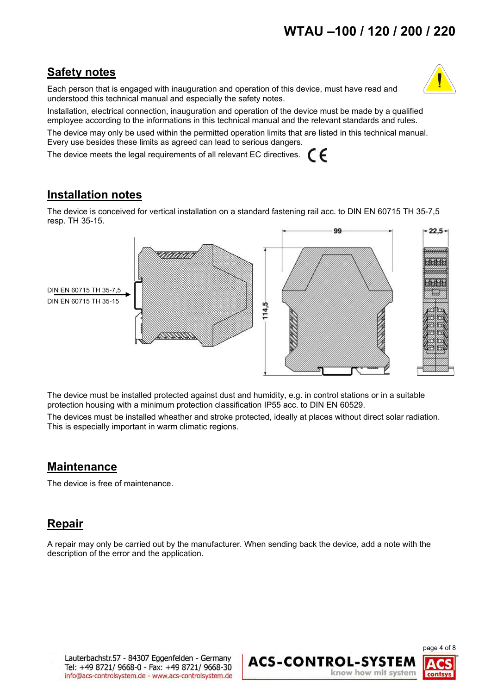# **Safety notes**

Each person that is engaged with inauguration and operation of this device, must have read and understood this technical manual and especially the safety notes.



Installation, electrical connection, inauguration and operation of the device must be made by a qualified employee according to the informations in this technical manual and the relevant standards and rules.

The device may only be used within the permitted operation limits that are listed in this technical manual. Every use besides these limits as agreed can lead to serious dangers.

The device meets the legal requirements of all relevant EC directives. CE

# **Installation notes**

The device is conceived for vertical installation on a standard fastening rail acc. to DIN EN 60715 TH 35-7,5 resp. TH 35-15.



The device must be installed protected against dust and humidity, e.g. in control stations or in a suitable protection housing with a minimum protection classification IP55 acc. to DIN EN 60529.

The devices must be installed wheather and stroke protected, ideally at places without direct solar radiation. This is especially important in warm climatic regions.

# **Maintenance**

The device is free of maintenance.

# **Repair**

A repair may only be carried out by the manufacturer. When sending back the device, add a note with the description of the error and the application.

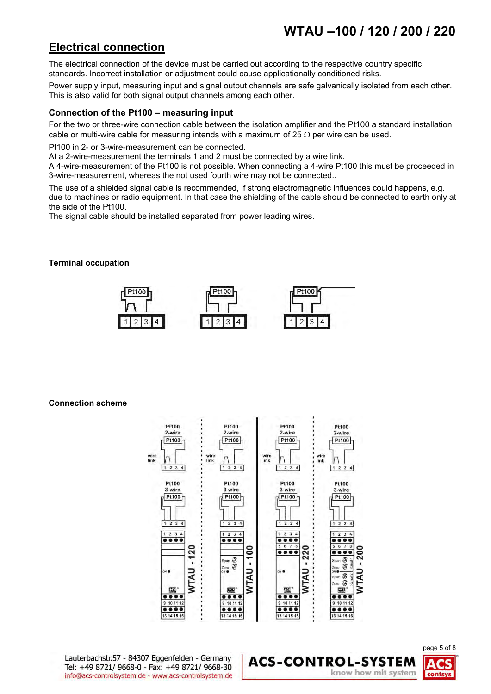# **Electrical connection**

The electrical connection of the device must be carried out according to the respective country specific standards. Incorrect installation or adjustment could cause applicationally conditioned risks.

Power supply input, measuring input and signal output channels are safe galvanically isolated from each other. This is also valid for both signal output channels among each other.

#### **Connection of the Pt100 – measuring input**

For the two or three-wire connection cable between the isolation amplifier and the Pt100 a standard installation cable or multi-wire cable for measuring intends with a maximum of 25  $\Omega$  per wire can be used.

Pt100 in 2- or 3-wire-measurement can be connected.

At a 2-wire-measurement the terminals 1 and 2 must be connected by a wire link.

A 4-wire-measurement of the Pt100 is not possible. When connecting a 4-wire Pt100 this must be proceeded in 3-wire-measurement, whereas the not used fourth wire may not be connected..

The use of a shielded signal cable is recommended, if strong electromagnetic influences could happens, e.g. due to machines or radio equipment. In that case the shielding of the cable should be connected to earth only at the side of the Pt100.

The signal cable should be installed separated from power leading wires.

#### **Terminal occupation**



**Connection scheme**



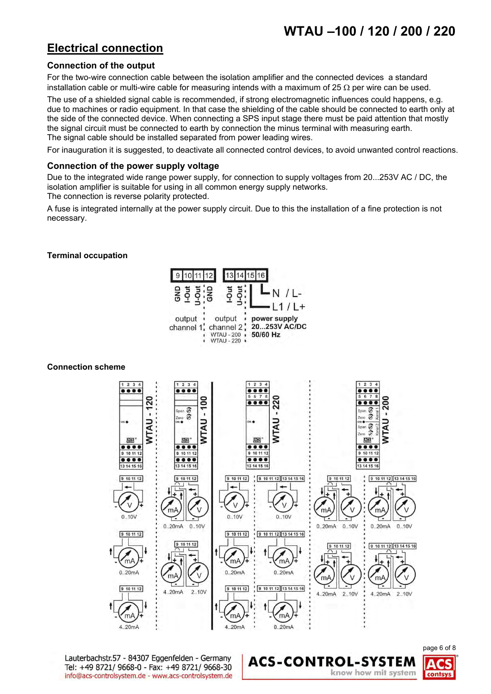# **Electrical connection**

### **Connection of the output**

For the two-wire connection cable between the isolation amplifier and the connected devices a standard installation cable or multi-wire cable for measuring intends with a maximum of 25  $\Omega$  per wire can be used.

The use of a shielded signal cable is recommended, if strong electromagnetic influences could happens, e.g. due to machines or radio equipment. In that case the shielding of the cable should be connected to earth only at the side of the connected device. When connecting a SPS input stage there must be paid attention that mostly the signal circuit must be connected to earth by connection the minus terminal with measuring earth. The signal cable should be installed separated from power leading wires.

For inauguration it is suggested, to deactivate all connected control devices, to avoid unwanted control reactions.

#### **Connection of the power supply voltage**

Due to the integrated wide range power supply, for connection to supply voltages from 20...253V AC / DC, the isolation amplifier is suitable for using in all common energy supply networks.

The connection is reverse polarity protected.

A fuse is integrated internally at the power supply circuit. Due to this the installation of a fine protection is not necessary.

#### **Terminal occupation**



#### **Connection scheme**



**ACS-CONTROL-SYSTEM** 

Lauterbachstr.57 - 84307 Eggenfelden - Germany Tel: +49 8721/ 9668-0 - Fax: +49 8721/ 9668-30 info@acs-controlsystem.de - www.acs-controlsystem.de

page 6 of 8 know how mit system contsys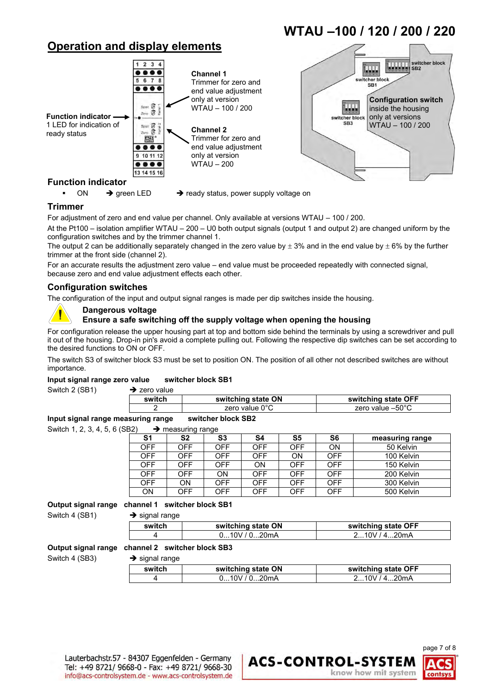# **Operation and display elements**





**WTAU –100 / 120 / 200 / 220**

ON  $\rightarrow$  green LED  $\rightarrow$  ready status, power supply voltage on

#### **Trimmer**

For adjustment of zero and end value per channel. Only available at versions WTAU – 100 / 200.

At the Pt100 – isolation amplifier WTAU – 200 – U0 both output signals (output 1 and output 2) are changed uniform by the configuration switches and by the trimmer channel 1.

The output 2 can be additionally separately changed in the zero value by  $\pm 3\%$  and in the end value by  $\pm 6\%$  by the further trimmer at the front side (channel 2).

For an accurate results the adjustment zero value – end value must be proceeded repeatedly with connected signal, because zero and end value adjustment effects each other.

#### **Configuration switches**

The configuration of the input and output signal ranges is made per dip switches inside the housing.

#### **Dangerous voltage**

#### **Ensure a safe switching off the supply voltage when opening the housing**

For configuration release the upper housing part at top and bottom side behind the terminals by using a screwdriver and pull it out of the housing. Drop-in pin's avoid a complete pulling out. Following the respective dip switches can be set according to the desired functions to ON or OFF.

The switch S3 of switcher block S3 must be set to position ON. The position of all other not described switches are without importance.

#### **Input signal range zero value switcher block SB1**

Switch 2 (SB1)  $\rightarrow$  zero value

| switch | switching state ON       | switching state OFF        |
|--------|--------------------------|----------------------------|
|        | zero value $0^{\circ}$ C | zero value $-50^{\circ}$ C |
|        |                          |                            |

#### **Input signal range measuring range switcher block SB2**

Switch 1, 2, 3, 4, 5, 6 (SB2) measuring range **S1 S2 S3 S4 S5 S6 measuring range** OFF | OFF | OFF | OFF | ON | 50 Kelvin OFF OFF OFF OFF ON OFF 100 Kelvin<br>OFF OFF OFF ON OFF OFF 150 Kelvin ON OFF OFF 150 Kelvin OFF OFF ON OFF OFF OFF 200 Kelvin OFF ON OFF OFF OFF OFF 300 Kelvin<br>
ON OFF OFF OFF OFF OFF 500 Kelvin 500 Kelvin

#### **Output signal range channel 1 switcher block SB1**

Switch 4 (SB1)  $\rightarrow$  signal range

| $\sim$ algular range |                    |                     |
|----------------------|--------------------|---------------------|
| switch               | switching state ON | switching state OFF |
|                      | 010V/020mA         | 210V/420mA          |

#### **Output signal range channel 2 switcher block SB3**

Switch 4 (SB3)  $\rightarrow$  signal range

| switch | switching state ON | switching state OFF |
|--------|--------------------|---------------------|
|        | 010V/020mA         | 210V/420mA          |